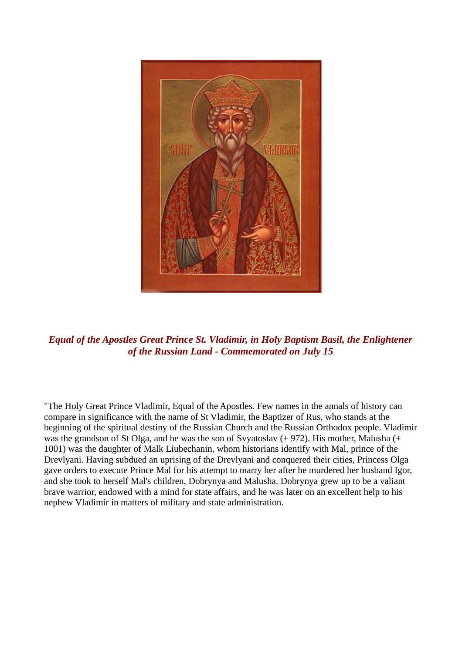

*Equal of the Apostles Great Prince St. Vladimir, in Holy Baptism Basil, the Enlightener of the Russian Land - Commemorated on July 15*

"The Holy Great Prince Vladimir, Equal of the Apostles. Few names in the annals of history can compare in significance with the name of St Vladimir, the Baptizer of Rus, who stands at the beginning of the spiritual destiny of the Russian Church and the Russian Orthodox people. Vladimir was the grandson of St Olga, and he was the son of Svyatoslav (+ 972). His mother, Malusha (+ 1001) was the daughter of Malk Liubechanin, whom historians identify with Mal, prince of the Drevlyani. Having subdued an uprising of the Drevlyani and conquered their cities, Princess Olga gave orders to execute Prince Mal for his attempt to marry her after he murdered her husband Igor, and she took to herself Mal's children, Dobrynya and Malusha. Dobrynya grew up to be a valiant brave warrior, endowed with a mind for state affairs, and he was later on an excellent help to his nephew Vladimir in matters of military and state administration.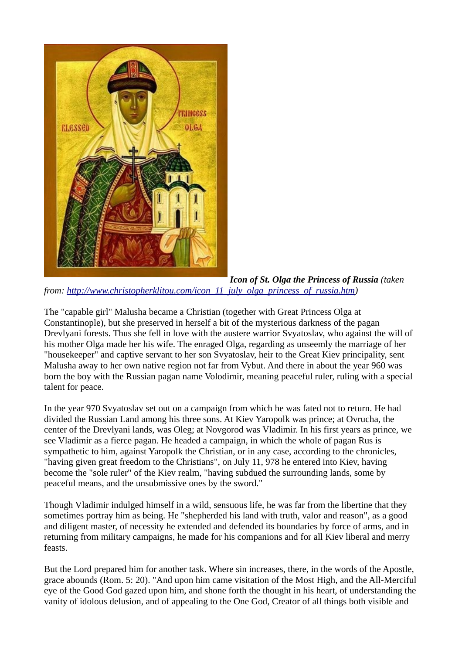

*Icon of St. Olga the Princess of Russia (taken from: [http://www.christopherklitou.com/icon\\_11\\_july\\_olga\\_princess\\_of\\_russia.htm\)](http://www.christopherklitou.com/icon_11_july_olga_princess_of_russia.htm)*

The "capable girl" Malusha became a Christian (together with Great Princess Olga at Constantinople), but she preserved in herself a bit of the mysterious darkness of the pagan Drevlyani forests. Thus she fell in love with the austere warrior Svyatoslav, who against the will of his mother Olga made her his wife. The enraged Olga, regarding as unseemly the marriage of her "housekeeper" and captive servant to her son Svyatoslav, heir to the Great Kiev principality, sent Malusha away to her own native region not far from Vybut. And there in about the year 960 was born the boy with the Russian pagan name Volodimir, meaning peaceful ruler, ruling with a special talent for peace.

In the year 970 Svyatoslav set out on a campaign from which he was fated not to return. He had divided the Russian Land among his three sons. At Kiev Yaropolk was prince; at Ovrucha, the center of the Drevlyani lands, was Oleg; at Novgorod was Vladimir. In his first years as prince, we see Vladimir as a fierce pagan. He headed a campaign, in which the whole of pagan Rus is sympathetic to him, against Yaropolk the Christian, or in any case, according to the chronicles, "having given great freedom to the Christians", on July 11, 978 he entered into Kiev, having become the "sole ruler" of the Kiev realm, "having subdued the surrounding lands, some by peaceful means, and the unsubmissive ones by the sword."

Though Vladimir indulged himself in a wild, sensuous life, he was far from the libertine that they sometimes portray him as being. He "shepherded his land with truth, valor and reason", as a good and diligent master, of necessity he extended and defended its boundaries by force of arms, and in returning from military campaigns, he made for his companions and for all Kiev liberal and merry feasts.

But the Lord prepared him for another task. Where sin increases, there, in the words of the Apostle, grace abounds (Rom. 5: 20). "And upon him came visitation of the Most High, and the All-Merciful eye of the Good God gazed upon him, and shone forth the thought in his heart, of understanding the vanity of idolous delusion, and of appealing to the One God, Creator of all things both visible and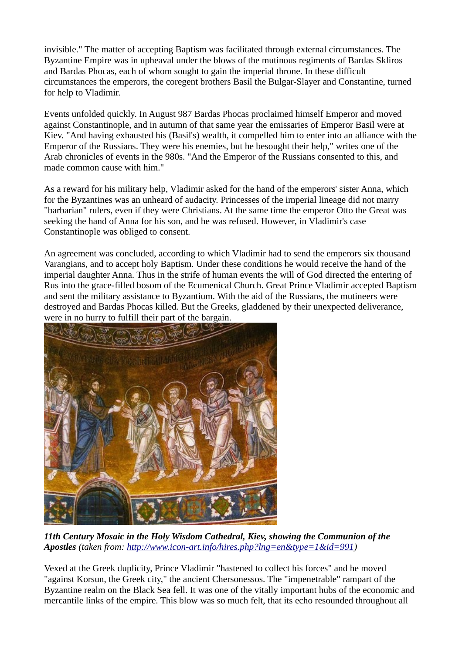invisible." The matter of accepting Baptism was facilitated through external circumstances. The Byzantine Empire was in upheaval under the blows of the mutinous regiments of Bardas Skliros and Bardas Phocas, each of whom sought to gain the imperial throne. In these difficult circumstances the emperors, the coregent brothers Basil the Bulgar-Slayer and Constantine, turned for help to Vladimir.

Events unfolded quickly. In August 987 Bardas Phocas proclaimed himself Emperor and moved against Constantinople, and in autumn of that same year the emissaries of Emperor Basil were at Kiev. "And having exhausted his (Basil's) wealth, it compelled him to enter into an alliance with the Emperor of the Russians. They were his enemies, but he besought their help," writes one of the Arab chronicles of events in the 980s. "And the Emperor of the Russians consented to this, and made common cause with him."

As a reward for his military help, Vladimir asked for the hand of the emperors' sister Anna, which for the Byzantines was an unheard of audacity. Princesses of the imperial lineage did not marry "barbarian" rulers, even if they were Christians. At the same time the emperor Otto the Great was seeking the hand of Anna for his son, and he was refused. However, in Vladimir's case Constantinople was obliged to consent.

An agreement was concluded, according to which Vladimir had to send the emperors six thousand Varangians, and to accept holy Baptism. Under these conditions he would receive the hand of the imperial daughter Anna. Thus in the strife of human events the will of God directed the entering of Rus into the grace-filled bosom of the Ecumenical Church. Great Prince Vladimir accepted Baptism and sent the military assistance to Byzantium. With the aid of the Russians, the mutineers were destroyed and Bardas Phocas killed. But the Greeks, gladdened by their unexpected deliverance, were in no hurry to fulfill their part of the bargain.



*11th Century Mosaic in the Holy Wisdom Cathedral, Kiev, showing the Communion of the Apostles (taken from: [http://www.icon-art.info/hires.php?lng=en&type=1&id=991\)](http://www.icon-art.info/hires.php?lng=en&type=1&id=991)*

Vexed at the Greek duplicity, Prince Vladimir "hastened to collect his forces" and he moved "against Korsun, the Greek city," the ancient Chersonessos. The "impenetrable" rampart of the Byzantine realm on the Black Sea fell. It was one of the vitally important hubs of the economic and mercantile links of the empire. This blow was so much felt, that its echo resounded throughout all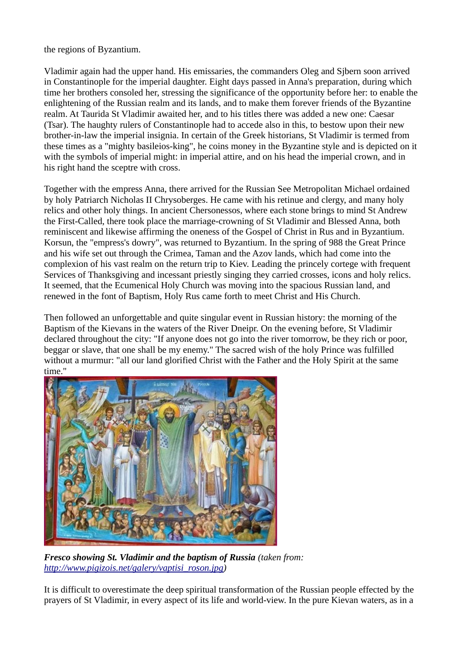the regions of Byzantium.

Vladimir again had the upper hand. His emissaries, the commanders Oleg and Sjbern soon arrived in Constantinople for the imperial daughter. Eight days passed in Anna's preparation, during which time her brothers consoled her, stressing the significance of the opportunity before her: to enable the enlightening of the Russian realm and its lands, and to make them forever friends of the Byzantine realm. At Taurida St Vladimir awaited her, and to his titles there was added a new one: Caesar (Tsar). The haughty rulers of Constantinople had to accede also in this, to bestow upon their new brother-in-law the imperial insignia. In certain of the Greek historians, St Vladimir is termed from these times as a "mighty basileios-king", he coins money in the Byzantine style and is depicted on it with the symbols of imperial might: in imperial attire, and on his head the imperial crown, and in his right hand the sceptre with cross.

Together with the empress Anna, there arrived for the Russian See Metropolitan Michael ordained by holy Patriarch Nicholas II Chrysoberges. He came with his retinue and clergy, and many holy relics and other holy things. In ancient Chersonessos, where each stone brings to mind St Andrew the First-Called, there took place the marriage-crowning of St Vladimir and Blessed Anna, both reminiscent and likewise affirming the oneness of the Gospel of Christ in Rus and in Byzantium. Korsun, the "empress's dowry", was returned to Byzantium. In the spring of 988 the Great Prince and his wife set out through the Crimea, Taman and the Azov lands, which had come into the complexion of his vast realm on the return trip to Kiev. Leading the princely cortege with frequent Services of Thanksgiving and incessant priestly singing they carried crosses, icons and holy relics. It seemed, that the Ecumenical Holy Church was moving into the spacious Russian land, and renewed in the font of Baptism, Holy Rus came forth to meet Christ and His Church.

Then followed an unforgettable and quite singular event in Russian history: the morning of the Baptism of the Kievans in the waters of the River Dneipr. On the evening before, St Vladimir declared throughout the city: "If anyone does not go into the river tomorrow, be they rich or poor, beggar or slave, that one shall be my enemy." The sacred wish of the holy Prince was fulfilled without a murmur: "all our land glorified Christ with the Father and the Holy Spirit at the same time."



*Fresco showing St. Vladimir and the baptism of Russia (taken from: [http://www.pigizois.net/galery/vaptisi\\_roson.jpg\)](http://www.pigizois.net/galery/vaptisi_roson.jpg)* 

It is difficult to overestimate the deep spiritual transformation of the Russian people effected by the prayers of St Vladimir, in every aspect of its life and world-view. In the pure Kievan waters, as in a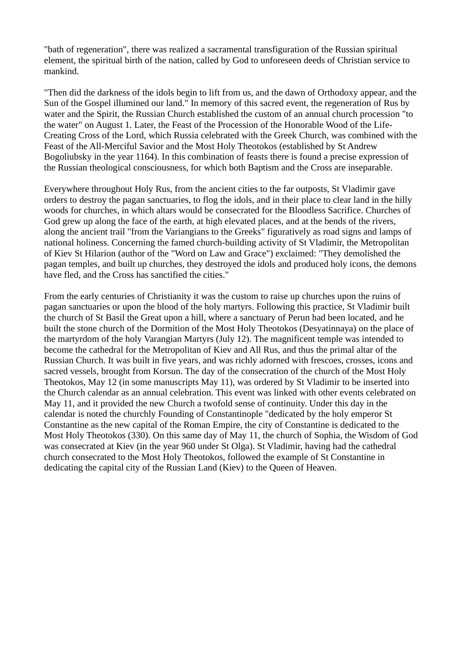"bath of regeneration", there was realized a sacramental transfiguration of the Russian spiritual element, the spiritual birth of the nation, called by God to unforeseen deeds of Christian service to mankind.

"Then did the darkness of the idols begin to lift from us, and the dawn of Orthodoxy appear, and the Sun of the Gospel illumined our land." In memory of this sacred event, the regeneration of Rus by water and the Spirit, the Russian Church established the custom of an annual church procession "to the water" on August 1. Later, the Feast of the Procession of the Honorable Wood of the Life-Creating Cross of the Lord, which Russia celebrated with the Greek Church, was combined with the Feast of the All-Merciful Savior and the Most Holy Theotokos (established by St Andrew Bogoliubsky in the year 1164). In this combination of feasts there is found a precise expression of the Russian theological consciousness, for which both Baptism and the Cross are inseparable.

Everywhere throughout Holy Rus, from the ancient cities to the far outposts, St Vladimir gave orders to destroy the pagan sanctuaries, to flog the idols, and in their place to clear land in the hilly woods for churches, in which altars would be consecrated for the Bloodless Sacrifice. Churches of God grew up along the face of the earth, at high elevated places, and at the bends of the rivers, along the ancient trail "from the Variangians to the Greeks" figuratively as road signs and lamps of national holiness. Concerning the famed church-building activity of St Vladimir, the Metropolitan of Kiev St Hilarion (author of the "Word on Law and Grace") exclaimed: "They demolished the pagan temples, and built up churches, they destroyed the idols and produced holy icons, the demons have fled, and the Cross has sanctified the cities."

From the early centuries of Christianity it was the custom to raise up churches upon the ruins of pagan sanctuaries or upon the blood of the holy martyrs. Following this practice, St Vladimir built the church of St Basil the Great upon a hill, where a sanctuary of Perun had been located, and he built the stone church of the Dormition of the Most Holy Theotokos (Desyatinnaya) on the place of the martyrdom of the holy Varangian Martyrs (July 12). The magnificent temple was intended to become the cathedral for the Metropolitan of Kiev and All Rus, and thus the primal altar of the Russian Church. It was built in five years, and was richly adorned with frescoes, crosses, icons and sacred vessels, brought from Korsun. The day of the consecration of the church of the Most Holy Theotokos, May 12 (in some manuscripts May 11), was ordered by St Vladimir to be inserted into the Church calendar as an annual celebration. This event was linked with other events celebrated on May 11, and it provided the new Church a twofold sense of continuity. Under this day in the calendar is noted the churchly Founding of Constantinople "dedicated by the holy emperor St Constantine as the new capital of the Roman Empire, the city of Constantine is dedicated to the Most Holy Theotokos (330). On this same day of May 11, the church of Sophia, the Wisdom of God was consecrated at Kiev (in the year 960 under St Olga). St Vladimir, having had the cathedral church consecrated to the Most Holy Theotokos, followed the example of St Constantine in dedicating the capital city of the Russian Land (Kiev) to the Queen of Heaven.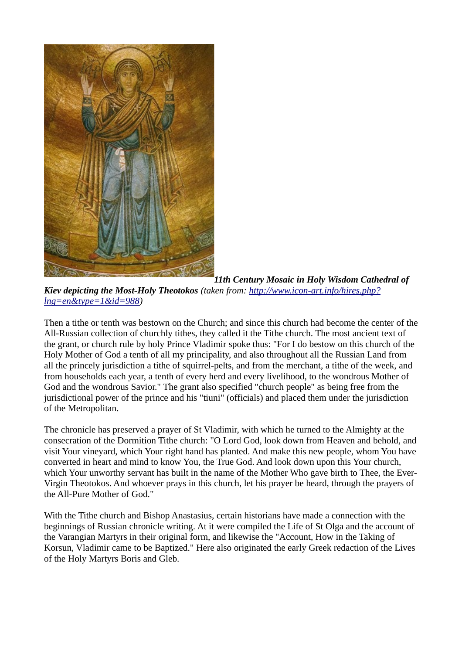

*11th Century Mosaic in Holy Wisdom Cathedral of*

*Kiev depicting the Most-Holy Theotokos (taken from: [http://www.icon-art.info/hires.php?](http://www.icon-art.info/hires.php?lng=en&type=1&id=988) [lng=en&type=1&id=988\)](http://www.icon-art.info/hires.php?lng=en&type=1&id=988)*

Then a tithe or tenth was bestown on the Church; and since this church had become the center of the All-Russian collection of churchly tithes, they called it the Tithe church. The most ancient text of the grant, or church rule by holy Prince Vladimir spoke thus: "For I do bestow on this church of the Holy Mother of God a tenth of all my principality, and also throughout all the Russian Land from all the princely jurisdiction a tithe of squirrel-pelts, and from the merchant, a tithe of the week, and from households each year, a tenth of every herd and every livelihood, to the wondrous Mother of God and the wondrous Savior." The grant also specified "church people" as being free from the jurisdictional power of the prince and his "tiuni" (officials) and placed them under the jurisdiction of the Metropolitan.

The chronicle has preserved a prayer of St Vladimir, with which he turned to the Almighty at the consecration of the Dormition Tithe church: "O Lord God, look down from Heaven and behold, and visit Your vineyard, which Your right hand has planted. And make this new people, whom You have converted in heart and mind to know You, the True God. And look down upon this Your church, which Your unworthy servant has built in the name of the Mother Who gave birth to Thee, the Ever-Virgin Theotokos. And whoever prays in this church, let his prayer be heard, through the prayers of the All-Pure Mother of God."

With the Tithe church and Bishop Anastasius, certain historians have made a connection with the beginnings of Russian chronicle writing. At it were compiled the Life of St Olga and the account of the Varangian Martyrs in their original form, and likewise the "Account, How in the Taking of Korsun, Vladimir came to be Baptized." Here also originated the early Greek redaction of the Lives of the Holy Martyrs Boris and Gleb.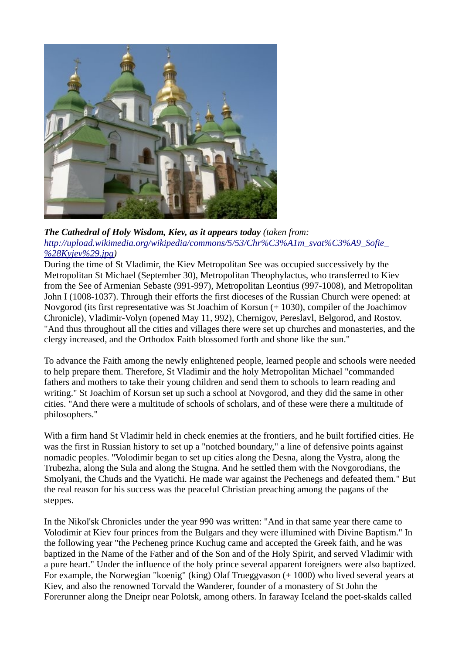

*The Cathedral of Holy Wisdom, Kiev, as it appears today (taken from: [http://upload.wikimedia.org/wikipedia/commons/5/53/Chr%C3%A1m\\_svat%C3%A9\\_Sofie\\_](http://upload.wikimedia.org/wikipedia/commons/5/53/Chr%C3%A1m_svat%C3%A9_Sofie_(Kyjev).jpg) [%28Kyjev%29.jpg\)](http://upload.wikimedia.org/wikipedia/commons/5/53/Chr%C3%A1m_svat%C3%A9_Sofie_(Kyjev).jpg)*

During the time of St Vladimir, the Kiev Metropolitan See was occupied successively by the Metropolitan St Michael (September 30), Metropolitan Theophylactus, who transferred to Kiev from the See of Armenian Sebaste (991-997), Metropolitan Leontius (997-1008), and Metropolitan John I (1008-1037). Through their efforts the first dioceses of the Russian Church were opened: at Novgorod (its first representative was St Joachim of Korsun (+ 1030), compiler of the Joachimov Chronicle), Vladimir-Volyn (opened May 11, 992), Chernigov, Pereslavl, Belgorod, and Rostov. "And thus throughout all the cities and villages there were set up churches and monasteries, and the clergy increased, and the Orthodox Faith blossomed forth and shone like the sun."

To advance the Faith among the newly enlightened people, learned people and schools were needed to help prepare them. Therefore, St Vladimir and the holy Metropolitan Michael "commanded fathers and mothers to take their young children and send them to schools to learn reading and writing." St Joachim of Korsun set up such a school at Novgorod, and they did the same in other cities. "And there were a multitude of schools of scholars, and of these were there a multitude of philosophers."

With a firm hand St Vladimir held in check enemies at the frontiers, and he built fortified cities. He was the first in Russian history to set up a "notched boundary," a line of defensive points against nomadic peoples. "Volodimir began to set up cities along the Desna, along the Vystra, along the Trubezha, along the Sula and along the Stugna. And he settled them with the Novgorodians, the Smolyani, the Chuds and the Vyatichi. He made war against the Pechenegs and defeated them." But the real reason for his success was the peaceful Christian preaching among the pagans of the steppes.

In the Nikol'sk Chronicles under the year 990 was written: "And in that same year there came to Volodimir at Kiev four princes from the Bulgars and they were illumined with Divine Baptism." In the following year "the Pecheneg prince Kuchug came and accepted the Greek faith, and he was baptized in the Name of the Father and of the Son and of the Holy Spirit, and served Vladimir with a pure heart." Under the influence of the holy prince several apparent foreigners were also baptized. For example, the Norwegian "koenig" (king) Olaf Trueggvason (+ 1000) who lived several years at Kiev, and also the renowned Torvald the Wanderer, founder of a monastery of St John the Forerunner along the Dneipr near Polotsk, among others. In faraway Iceland the poet-skalds called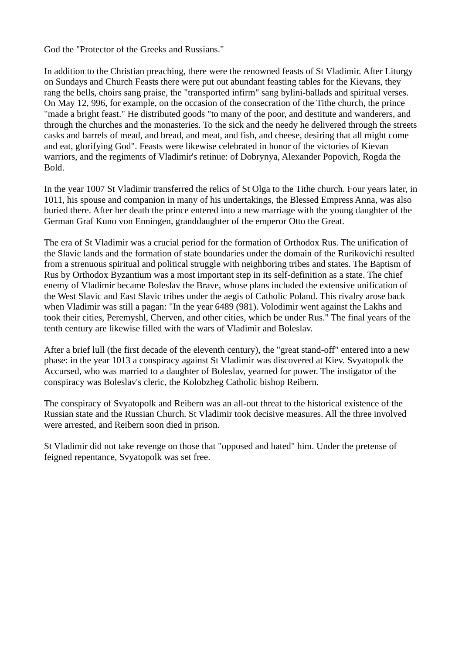God the "Protector of the Greeks and Russians."

In addition to the Christian preaching, there were the renowned feasts of St Vladimir. After Liturgy on Sundays and Church Feasts there were put out abundant feasting tables for the Kievans, they rang the bells, choirs sang praise, the "transported infirm" sang bylini-ballads and spiritual verses. On May 12, 996, for example, on the occasion of the consecration of the Tithe church, the prince "made a bright feast." He distributed goods "to many of the poor, and destitute and wanderers, and through the churches and the monasteries. To the sick and the needy he delivered through the streets casks and barrels of mead, and bread, and meat, and fish, and cheese, desiring that all might come and eat, glorifying God". Feasts were likewise celebrated in honor of the victories of Kievan warriors, and the regiments of Vladimir's retinue: of Dobrynya, Alexander Popovich, Rogda the Bold.

In the year 1007 St Vladimir transferred the relics of St Olga to the Tithe church. Four years later, in 1011, his spouse and companion in many of his undertakings, the Blessed Empress Anna, was also buried there. After her death the prince entered into a new marriage with the young daughter of the German Graf Kuno von Enningen, granddaughter of the emperor Otto the Great.

The era of St Vladimir was a crucial period for the formation of Orthodox Rus. The unification of the Slavic lands and the formation of state boundaries under the domain of the Rurikovichi resulted from a strenuous spiritual and political struggle with neighboring tribes and states. The Baptism of Rus by Orthodox Byzantium was a most important step in its self-definition as a state. The chief enemy of Vladimir became Boleslav the Brave, whose plans included the extensive unification of the West Slavic and East Slavic tribes under the aegis of Catholic Poland. This rivalry arose back when Vladimir was still a pagan: "In the year 6489 (981). Volodimir went against the Lakhs and took their cities, Peremyshl, Cherven, and other cities, which be under Rus." The final years of the tenth century are likewise filled with the wars of Vladimir and Boleslav.

After a brief lull (the first decade of the eleventh century), the "great stand-off" entered into a new phase: in the year 1013 a conspiracy against St Vladimir was discovered at Kiev. Svyatopolk the Accursed, who was married to a daughter of Boleslav, yearned for power. The instigator of the conspiracy was Boleslav's cleric, the Kolobzheg Catholic bishop Reibern.

The conspiracy of Svyatopolk and Reibern was an all-out threat to the historical existence of the Russian state and the Russian Church. St Vladimir took decisive measures. All the three involved were arrested, and Reibern soon died in prison.

St Vladimir did not take revenge on those that "opposed and hated" him. Under the pretense of feigned repentance, Svyatopolk was set free.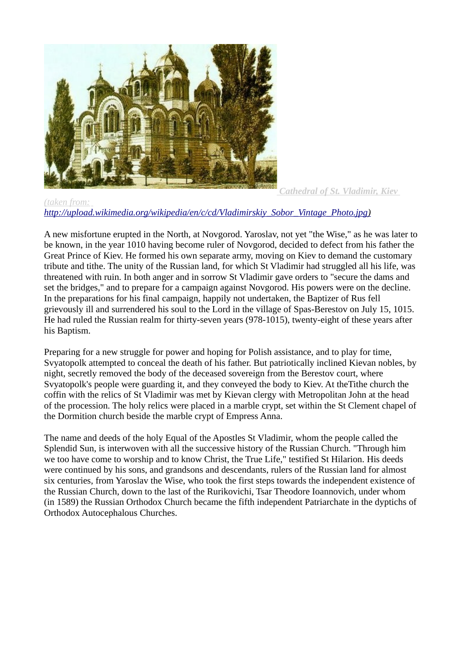

 *[Cathedral of St. Vladimir, Kiev](http://1.bp.blogspot.com/_UOJjUH2o_wM/Sl3vV3DefnI/AAAAAAAABN8/SOSfS4OEEeM/s1600-h/the+Baptism+of+the+Russians.jpg)*

*[\(taken from:](http://1.bp.blogspot.com/_UOJjUH2o_wM/Sl3vV3DefnI/AAAAAAAABN8/SOSfS4OEEeM/s1600-h/the+Baptism+of+the+Russians.jpg)  [http://upload.wikimedia.org/wikipedia/en/c/cd/Vladimirskiy\\_Sobor\\_Vintage\\_Photo.jpg](http://upload.wikimedia.org/wikipedia/en/c/cd/Vladimirskiy_Sobor_Vintage_Photo.jpg) [\)](http://1.bp.blogspot.com/_UOJjUH2o_wM/Sl3vV3DefnI/AAAAAAAABN8/SOSfS4OEEeM/s1600-h/the+Baptism+of+the+Russians.jpg)*

A new misfortune erupted in the North, at Novgorod. Yaroslav, not yet "the Wise," as he was later to be known, in the year 1010 having become ruler of Novgorod, decided to defect from his father the Great Prince of Kiev. He formed his own separate army, moving on Kiev to demand the customary tribute and tithe. The unity of the Russian land, for which St Vladimir had struggled all his life, was threatened with ruin. In both anger and in sorrow St Vladimir gave orders to "secure the dams and set the bridges," and to prepare for a campaign against Novgorod. His powers were on the decline. In the preparations for his final campaign, happily not undertaken, the Baptizer of Rus fell grievously ill and surrendered his soul to the Lord in the village of Spas-Berestov on July 15, 1015. He had ruled the Russian realm for thirty-seven years (978-1015), twenty-eight of these years after his Baptism.

Preparing for a new struggle for power and hoping for Polish assistance, and to play for time, Svyatopolk attempted to conceal the death of his father. But patriotically inclined Kievan nobles, by night, secretly removed the body of the deceased sovereign from the Berestov court, where Svyatopolk's people were guarding it, and they conveyed the body to Kiev. At theTithe church the coffin with the relics of St Vladimir was met by Kievan clergy with Metropolitan John at the head of the procession. The holy relics were placed in a marble crypt, set within the St Clement chapel of the Dormition church beside the marble crypt of Empress Anna.

The name and deeds of the holy Equal of the Apostles St Vladimir, whom the people called the Splendid Sun, is interwoven with all the successive history of the Russian Church. "Through him we too have come to worship and to know Christ, the True Life," testified St Hilarion. His deeds were continued by his sons, and grandsons and descendants, rulers of the Russian land for almost six centuries, from Yaroslav the Wise, who took the first steps towards the independent existence of the Russian Church, down to the last of the Rurikovichi, Tsar Theodore Ioannovich, under whom (in 1589) the Russian Orthodox Church became the fifth independent Patriarchate in the dyptichs of Orthodox Autocephalous Churches.